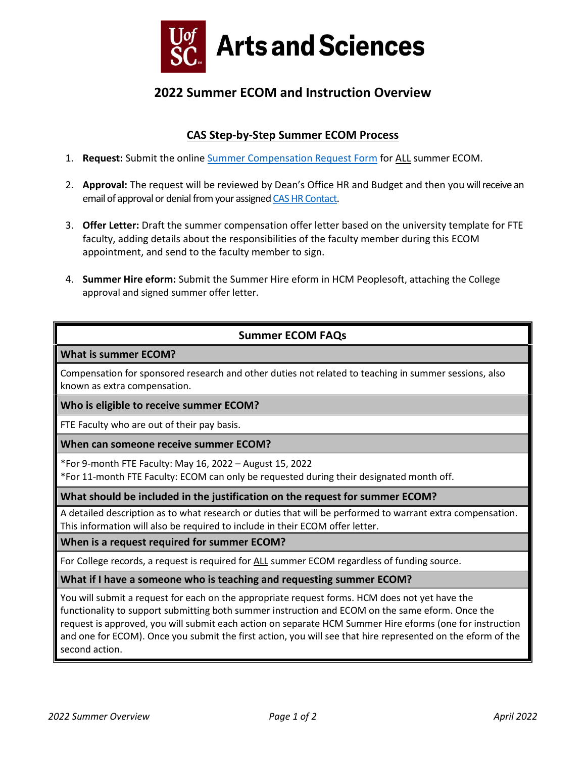

# **2022 Summer ECOM and Instruction Overview**

## **CAS Step‐by‐Step Summer ECOM Process**

- 1. **Request:** Submit the online [Summer Compensation Request Form](https://www.sc.edu/study/colleges_schools/artsandsciences/internal/for_faculty_staff/offices_depts/human_resources/summer-ecom.php) for ALL summer ECOM.
- 2. **Approval:** The request will be reviewed by Dean's Office HR and Budget and then you will receive an email of approval or denial from your assigne[d CAS HR Contact.](https://sc.edu/study/colleges_schools/artsandsciences/internal/for_faculty_staff/office_contacts.php)
- 3. **Offer Letter:** Draft the summer compensation offer letter based on the university template for FTE faculty, adding details about the responsibilities of the faculty member during this ECOM appointment, and send to the faculty member to sign.
- 4. **Summer Hire eform:** Submit the Summer Hire eform in HCM Peoplesoft, attaching the College approval and signed summer offer letter.

### **Summer ECOM FAQs**

#### **What is summer ECOM?**

Compensation for sponsored research and other duties not related to teaching in summer sessions, also known as extra compensation.

#### **Who is eligible to receive summer ECOM?**

FTE Faculty who are out of their pay basis.

#### **When can someone receive summer ECOM?**

\*For 9-month FTE Faculty: May 16, 2022 – August 15, 2022

\*For 11-month FTE Faculty: ECOM can only be requested during their designated month off.

#### **What should be included in the justification on the request for summer ECOM?**

A detailed description as to what research or duties that will be performed to warrant extra compensation. This information will also be required to include in their ECOM offer letter.

**When is a request required for summer ECOM?**

For College records, a request is required for ALL summer ECOM regardless of funding source.

#### **What if I have a someone who is teaching and requesting summer ECOM?**

You will submit a request for each on the appropriate request forms. HCM does not yet have the functionality to support submitting both summer instruction and ECOM on the same eform. Once the request is approved, you will submit each action on separate HCM Summer Hire eforms (one for instruction and one for ECOM). Once you submit the first action, you will see that hire represented on the eform of the second action.